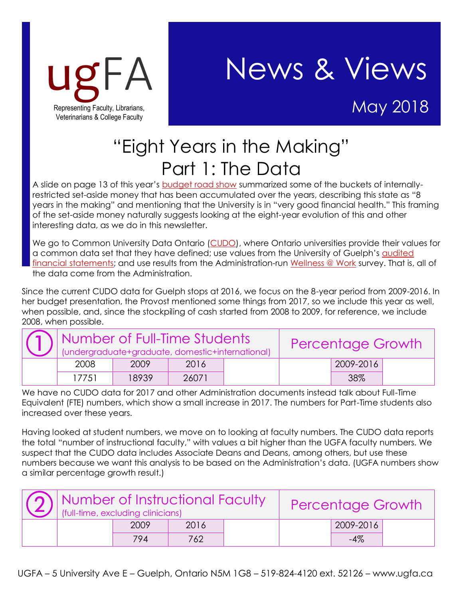

## ugFA News & Views

## "Eight Years in the Making" Part 1: The Data

A slide on page 13 of this year's [budget road show](https://www.uoguelph.ca/vpacademic/budget/2018/University-Town-Hall-April-2-2018.pdf) summarized some of the buckets of internallyrestricted set-aside money that has been accumulated over the years, describing this state as "8 years in the making" and mentioning that the University is in "very good financial health." This framing of the set-aside money naturally suggests looking at the eight-year evolution of this and other interesting data, as we do in this newsletter.

We go to Common University Data Ontario [\(CUDO\)](http://cou.on.ca/numbers/cudo/), where Ontario universities provide their values for a common data set that they have defined; use values from the University of Guelph's audited [financial statements;](https://www.uoguelph.ca/finance/reports/university-financial-statements) and use results from the Administration-run [Wellness @ Work](https://www.uoguelph.ca/wellnessatwork/wellnesswork-survey) survey. That is, all of the data come from the Administration.

Since the current CUDO data for Guelph stops at 2016, we focus on the 8-year period from 2009-2016. In her budget presentation, the Provost mentioned some things from 2017, so we include this year as well, when possible, and, since the stockpiling of cash started from 2008 to 2009, for reference, we include 2008, when possible.

| $\boxed{\fbox{1}}$ $\boxed{\fbox{1}}$ $\boxed{\fbox{1}}$ $\boxed{\fbox{1}}$ $\boxed{\fbox{1}}$ $\boxed{\fbox{1}}$ $\boxed{\fbox{1}}$ $\boxed{\fbox{1}}$ $\boxed{\fbox{1}}$ $\boxed{\fbox{1}}$ |       |       | <b>Percentage Growth</b> |  |           |  |
|-----------------------------------------------------------------------------------------------------------------------------------------------------------------------------------------------|-------|-------|--------------------------|--|-----------|--|
| 2008                                                                                                                                                                                          | 2009  | 2016  |                          |  | 2009-2016 |  |
| 17751                                                                                                                                                                                         | 18939 | 26071 |                          |  | 38%       |  |

We have no CUDO data for 2017 and other Administration documents instead talk about Full-Time Equivalent (FTE) numbers, which show a small increase in 2017. The numbers for Part-Time students also increased over these years.

Having looked at student numbers, we move on to looking at faculty numbers. The CUDO data reports the total "number of instructional faculty," with values a bit higher than the UGFA faculty numbers. We suspect that the CUDO data includes Associate Deans and Deans, among others, but use these numbers because we want this analysis to be based on the Administration's data. (UGFA numbers show a similar percentage growth result.)

|  | $\Omega$ Number of Instructional Faculty<br>(full-time, excluding clinicians) |      |  |  | <b>Percentage Growth</b> |  |  |
|--|-------------------------------------------------------------------------------|------|--|--|--------------------------|--|--|
|  | 2009                                                                          | 2016 |  |  | 2009-2016                |  |  |
|  | 794                                                                           | 762  |  |  | $-4%$                    |  |  |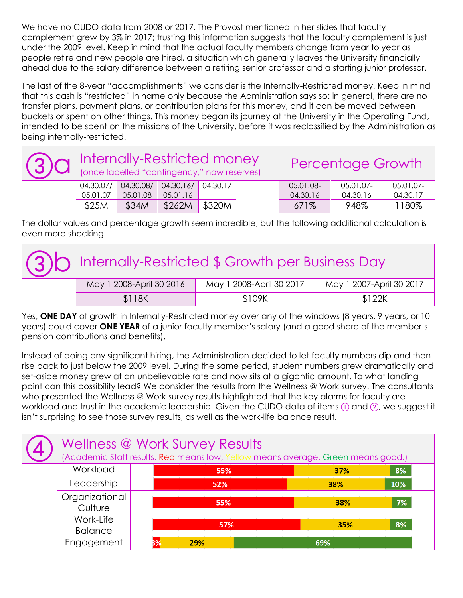We have no CUDO data from 2008 or 2017. The Provost mentioned in her slides that faculty complement grew by 3% in 2017; trusting this information suggests that the faculty complement is just under the 2009 level. Keep in mind that the actual faculty members change from year to year as people retire and new people are hired, a situation which generally leaves the University financially ahead due to the salary difference between a retiring senior professor and a starting junior professor.

The last of the 8-year "accomplishments" we consider is the Internally-Restricted money. Keep in mind that this cash is "restricted" in name only because the Administration says so: in general, there are no transfer plans, payment plans, or contribution plans for this money, and it can be moved between buckets or spent on other things. This money began its journey at the University in the Operating Fund, intended to be spent on the missions of the University, before it was reclassified by the Administration as being internally-restricted.

| 30 Internally-Restricted money<br>(3) Cl   (once labelled "contingency," now reserves) |                       |                                        |                   |  | <b>Percentage Growth</b> |                       |                       |
|----------------------------------------------------------------------------------------|-----------------------|----------------------------------------|-------------------|--|--------------------------|-----------------------|-----------------------|
| 04.30.07/<br>05.01.07                                                                  | 04.30.08/<br>05.01.08 | $\vert$ 04.30.16/ 04.30.17<br>05.01.16 |                   |  | 05.01.08-<br>04.30.16    | 05.01.07-<br>04.30.16 | 05.01.07-<br>04.30.17 |
| \$25M                                                                                  | \$34M                 | \$262M                                 | $^{\circ}$ \$320M |  | 671%                     | 948%                  | 1180%                 |

The dollar values and percentage growth seem incredible, but the following additional calculation is even more shocking.

| 30 Internally-Restricted \$ Growth per Business Day |                          |                          |  |  |  |  |
|-----------------------------------------------------|--------------------------|--------------------------|--|--|--|--|
| May 1 2008-April 30 2016                            | May 1 2008-April 30 2017 | May 1 2007-April 30 2017 |  |  |  |  |
| \$118K                                              | \$109K                   | \$122K                   |  |  |  |  |

Yes, **ONE DAY** of growth in Internally-Restricted money over any of the windows (8 years, 9 years, or 10 years) could cover **ONE YEAR** of a junior faculty member's salary (and a good share of the member's pension contributions and benefits).

Instead of doing any significant hiring, the Administration decided to let faculty numbers dip and then rise back to just below the 2009 level. During the same period, student numbers grew dramatically and set-aside money grew at an unbelievable rate and now sits at a gigantic amount. To what landing point can this possibility lead? We consider the results from the Wellness @ Work survey. The consultants who presented the Wellness @ Work survey results highlighted that the key alarms for faculty are workload and trust in the academic leadership. Given the CUDO data of items  $\overline{r}$  and  $\overline{a}$ , we suggest it isn't surprising to see those survey results, as well as the work-life balance result.

|  | Wellness @ Work Survey Results<br>(Academic Staff results. Red means low, Yellow means average, Green means good.) |  |     |            |     |  |  |
|--|--------------------------------------------------------------------------------------------------------------------|--|-----|------------|-----|--|--|
|  | Workload                                                                                                           |  | 55% | 37%        | 8%  |  |  |
|  | Leadership                                                                                                         |  | 52% | <b>38%</b> | 10% |  |  |
|  | Organizational<br>Culture                                                                                          |  | 55% | 38%        | 7%  |  |  |
|  | Work-Life<br><b>Balance</b>                                                                                        |  | 57% | 35%        | 8%  |  |  |
|  | Engagement                                                                                                         |  | 29% | 69%        |     |  |  |